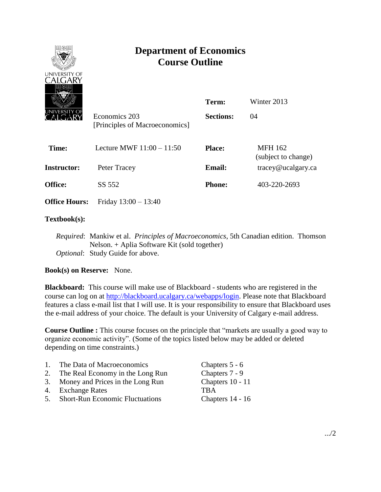

# **Department of Economics Course Outline**

| الكحكا<br>JNIVERSITY OF | Economics 203<br>[Principles of Macroeconomics] | Term:<br><b>Sections:</b> | Winter 2013<br>04                     |
|-------------------------|-------------------------------------------------|---------------------------|---------------------------------------|
| Time:                   | Lecture MWF $11:00 - 11:50$                     | <b>Place:</b>             | <b>MFH 162</b><br>(subject to change) |
| Instructor:             | Peter Tracey                                    | <b>Email:</b>             | tracey@ucalgary.ca                    |
| <b>Office:</b>          | SS 552                                          | <b>Phone:</b>             | 403-220-2693                          |
| <b>Office Hours:</b>    | Friday $13:00 - 13:40$                          |                           |                                       |

## **Textbook(s):**

*Required*: Mankiw et al. *Principles of Macroeconomics*, 5th Canadian edition. Thomson Nelson. + Aplia Software Kit (sold together) *Optional*: Study Guide for above.

## **Book(s) on Reserve:** None.

**Blackboard:** This course will make use of Blackboard - students who are registered in the course can log on at [http://blackboard.ucalgary.ca/webapps/login.](http://blackboard.ucalgary.ca/webapps/login) Please note that Blackboard features a class e-mail list that I will use. It is your responsibility to ensure that Blackboard uses the e-mail address of your choice. The default is your University of Calgary e-mail address.

**Course Outline :** This course focuses on the principle that "markets are usually a good way to organize economic activity". (Some of the topics listed below may be added or deleted depending on time constraints.)

| $\overline{1}$ . | The Data of Macroeconomics             | Chapters 5 - 6   |
|------------------|----------------------------------------|------------------|
| 2.               | The Real Economy in the Long Run       | Chapters 7 - 9   |
|                  | 3. Money and Prices in the Long Run    | Chapters 10 - 11 |
|                  | 4. Exchange Rates                      | <b>TRA</b>       |
| 5 <sub>1</sub>   | <b>Short-Run Economic Fluctuations</b> | Chapters 14 - 16 |
|                  |                                        |                  |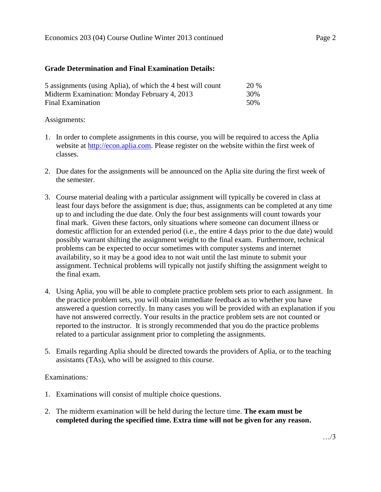### **Grade Determination and Final Examination Details:**

| 5 assignments (using Aplia), of which the 4 best will count | <b>20 %</b> |
|-------------------------------------------------------------|-------------|
| Midterm Examination: Monday February 4, 2013                | 30%         |
| Final Examination                                           | 50%         |

### Assignments:

- 1. In order to complete assignments in this course, you will be required to access the Aplia website at [http://econ.aplia.com.](http://econ.aplia.com/) Please register on the website within the first week of classes.
- 2. Due dates for the assignments will be announced on the Aplia site during the first week of the semester.
- 3. Course material dealing with a particular assignment will typically be covered in class at least four days before the assignment is due; thus, assignments can be completed at any time up to and including the due date. Only the four best assignments will count towards your final mark. Given these factors, only situations where someone can document illness or domestic affliction for an extended period (i.e., the entire 4 days prior to the due date) would possibly warrant shifting the assignment weight to the final exam. Furthermore, technical problems can be expected to occur sometimes with computer systems and internet availability, so it may be a good idea to not wait until the last minute to submit your assignment. Technical problems will typically not justify shifting the assignment weight to the final exam.
- 4. Using Aplia, you will be able to complete practice problem sets prior to each assignment. In the practice problem sets, you will obtain immediate feedback as to whether you have answered a question correctly. In many cases you will be provided with an explanation if you have not answered correctly. Your results in the practice problem sets are not counted or reported to the instructor. It is strongly recommended that you do the practice problems related to a particular assignment prior to completing the assignments.
- 5. Emails regarding Aplia should be directed towards the providers of Aplia, or to the teaching assistants (TAs), who will be assigned to this course.

## Examinations*:*

- 1. Examinations will consist of multiple choice questions.
- 2. The midterm examination will be held during the lecture time. **The exam must be completed during the specified time. Extra time will not be given for any reason.**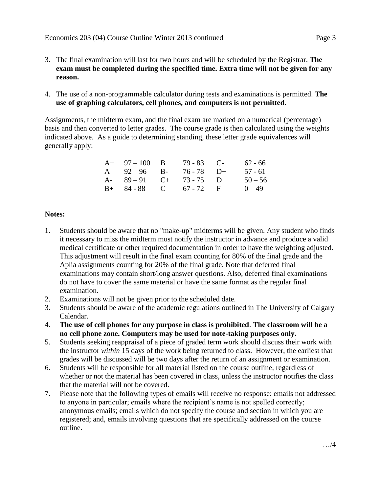- 3. The final examination will last for two hours and will be scheduled by the Registrar. **The exam must be completed during the specified time. Extra time will not be given for any reason.**
- 4. The use of a non-programmable calculator during tests and examinations is permitted. **The use of graphing calculators, cell phones, and computers is not permitted.**

Assignments, the midterm exam, and the final exam are marked on a numerical (percentage) basis and then converted to letter grades. The course grade is then calculated using the weights indicated above. As a guide to determining standing, these letter grade equivalences will generally apply:

| $A+ 97-100 B$          | $79 - 83$ C- | 62 - 66   |
|------------------------|--------------|-----------|
| A $92-96$ B-           | 76 - 78 D+   | $57 - 61$ |
| A- $89-91$ C+ 73-75 D  |              | $50 - 56$ |
| $B+ 84-88$ C 67 - 72 F |              | $0 - 49$  |

## **Notes:**

- 1. Students should be aware that no "make-up" midterms will be given. Any student who finds it necessary to miss the midterm must notify the instructor in advance and produce a valid medical certificate or other required documentation in order to have the weighting adjusted. This adjustment will result in the final exam counting for 80% of the final grade and the Aplia assignments counting for 20% of the final grade. Note that deferred final examinations may contain short/long answer questions. Also, deferred final examinations do not have to cover the same material or have the same format as the regular final examination.
- 2. Examinations will not be given prior to the scheduled date.
- 3. Students should be aware of the academic regulations outlined in The University of Calgary Calendar.
- 4. **The use of cell phones for any purpose in class is prohibited**. **The classroom will be a no cell phone zone. Computers may be used for note-taking purposes only.**
- 5. Students seeking reappraisal of a piece of graded term work should discuss their work with the instructor *within* 15 days of the work being returned to class. However, the earliest that grades will be discussed will be two days after the return of an assignment or examination.
- 6. Students will be responsible for all material listed on the course outline, regardless of whether or not the material has been covered in class, unless the instructor notifies the class that the material will not be covered.
- 7. Please note that the following types of emails will receive no response: emails not addressed to anyone in particular; emails where the recipient's name is not spelled correctly; anonymous emails; emails which do not specify the course and section in which you are registered; and, emails involving questions that are specifically addressed on the course outline.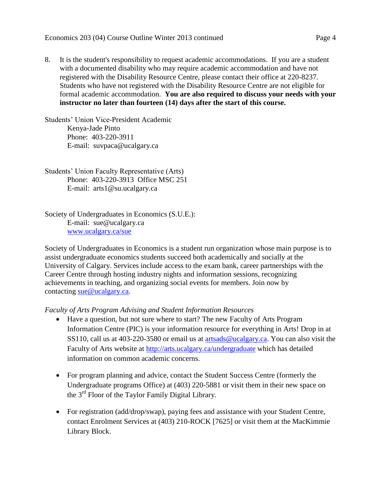8. It is the student's responsibility to request academic accommodations. If you are a student with a documented disability who may require academic accommodation and have not registered with the Disability Resource Centre, please contact their office at 220-8237. Students who have not registered with the Disability Resource Centre are not eligible for formal academic accommodation. **You are also required to discuss your needs with your instructor no later than fourteen (14) days after the start of this course.**

Students' Union Vice-President Academic Kenya-Jade Pinto Phone: 403-220-3911 E-mail: suvpaca@ucalgary.ca

Students' Union Faculty Representative (Arts) Phone: 403-220-3913 Office MSC 251 E-mail: arts1@su.ucalgary.ca

Society of Undergraduates in Economics (S.U.E.): E-mail: sue@ucalgary.ca [www.ucalgary.ca/sue](http://www.ucalgary.ca/sue)

Society of Undergraduates in Economics is a student run organization whose main purpose is to assist undergraduate economics students succeed both academically and socially at the University of Calgary. Services include access to the exam bank, career partnerships with the Career Centre through hosting industry nights and information sessions, recognizing achievements in teaching, and organizing social events for members. Join now by contacting [sue@ucalgary.ca.](mailto:sue@ucalgary.ca)

*Faculty of Arts Program Advising and Student Information Resources*

- Have a question, but not sure where to start? The new Faculty of Arts Program Information Centre (PIC) is your information resource for everything in Arts! Drop in at SS110, call us at 403-220-3580 or email us at [artsads@ucalgary.ca.](mailto:artsads@ucalgary.ca) You can also visit the Faculty of Arts website at<http://arts.ucalgary.ca/undergraduate> which has detailed information on common academic concerns.
- For program planning and advice, contact the Student Success Centre (formerly the Undergraduate programs Office) at (403) 220-5881 or visit them in their new space on the 3rd Floor of the Taylor Family Digital Library.
- For registration (add/drop/swap), paying fees and assistance with your Student Centre, contact Enrolment Services at (403) 210-ROCK [7625] or visit them at the MacKimmie Library Block.